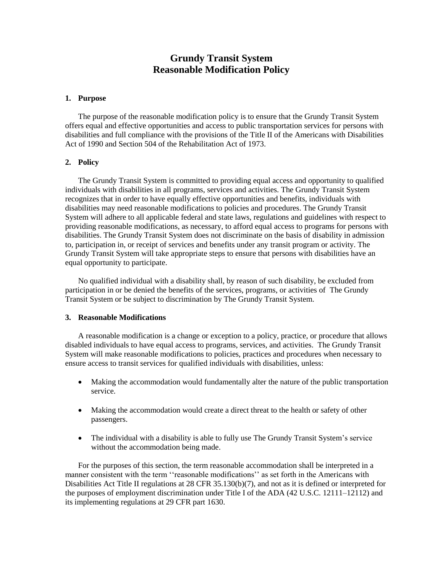# **Grundy Transit System Reasonable Modification Policy**

## **1. Purpose**

The purpose of the reasonable modification policy is to ensure that the Grundy Transit System offers equal and effective opportunities and access to public transportation services for persons with disabilities and full compliance with the provisions of the Title II of the Americans with Disabilities Act of 1990 and Section 504 of the Rehabilitation Act of 1973.

# **2. Policy**

The Grundy Transit System is committed to providing equal access and opportunity to qualified individuals with disabilities in all programs, services and activities. The Grundy Transit System recognizes that in order to have equally effective opportunities and benefits, individuals with disabilities may need reasonable modifications to policies and procedures. The Grundy Transit System will adhere to all applicable federal and state laws, regulations and guidelines with respect to providing reasonable modifications, as necessary, to afford equal access to programs for persons with disabilities. The Grundy Transit System does not discriminate on the basis of disability in admission to, participation in, or receipt of services and benefits under any transit program or activity. The Grundy Transit System will take appropriate steps to ensure that persons with disabilities have an equal opportunity to participate.

No qualified individual with a disability shall, by reason of such disability, be excluded from participation in or be denied the benefits of the services, programs, or activities of The Grundy Transit System or be subject to discrimination by The Grundy Transit System.

# **3. Reasonable Modifications**

A reasonable modification is a change or exception to a policy, practice, or procedure that allows disabled individuals to have equal access to programs, services, and activities. The Grundy Transit System will make reasonable modifications to policies, practices and procedures when necessary to ensure access to transit services for qualified individuals with disabilities, unless:

- Making the accommodation would fundamentally alter the nature of the public transportation service.
- Making the accommodation would create a direct threat to the health or safety of other passengers.
- The individual with a disability is able to fully use The Grundy Transit System's service without the accommodation being made.

For the purposes of this section, the term reasonable accommodation shall be interpreted in a manner consistent with the term ''reasonable modifications'' as set forth in the Americans with Disabilities Act Title II regulations at 28 CFR 35.130(b)(7), and not as it is defined or interpreted for the purposes of employment discrimination under Title I of the ADA (42 U.S.C. 12111–12112) and its implementing regulations at 29 CFR part 1630.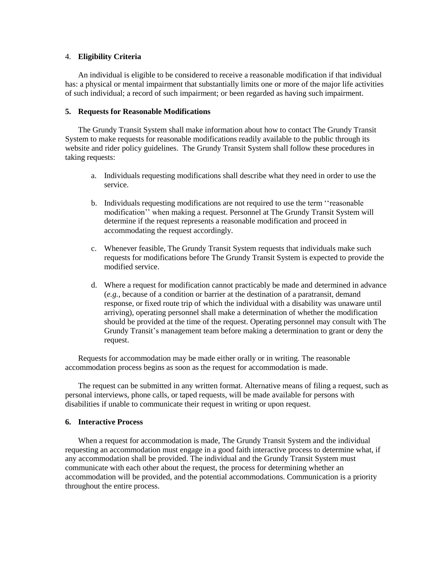## 4. **Eligibility Criteria**

An individual is eligible to be considered to receive a reasonable modification if that individual has: a physical or mental impairment that substantially limits one or more of the major life activities of such individual; a record of such impairment; or been regarded as having such impairment.

# **5. Requests for Reasonable Modifications**

The Grundy Transit System shall make information about how to contact The Grundy Transit System to make requests for reasonable modifications readily available to the public through its website and rider policy guidelines. The Grundy Transit System shall follow these procedures in taking requests:

- a. Individuals requesting modifications shall describe what they need in order to use the service.
- b. Individuals requesting modifications are not required to use the term ''reasonable modification'' when making a request. Personnel at The Grundy Transit System will determine if the request represents a reasonable modification and proceed in accommodating the request accordingly.
- c. Whenever feasible, The Grundy Transit System requests that individuals make such requests for modifications before The Grundy Transit System is expected to provide the modified service.
- d. Where a request for modification cannot practicably be made and determined in advance (*e.g.*, because of a condition or barrier at the destination of a paratransit, demand response, or fixed route trip of which the individual with a disability was unaware until arriving), operating personnel shall make a determination of whether the modification should be provided at the time of the request. Operating personnel may consult with The Grundy Transit's management team before making a determination to grant or deny the request.

Requests for accommodation may be made either orally or in writing. The reasonable accommodation process begins as soon as the request for accommodation is made.

The request can be submitted in any written format. Alternative means of filing a request, such as personal interviews, phone calls, or taped requests, will be made available for persons with disabilities if unable to communicate their request in writing or upon request.

# **6. Interactive Process**

When a request for accommodation is made, The Grundy Transit System and the individual requesting an accommodation must engage in a good faith interactive process to determine what, if any accommodation shall be provided. The individual and the Grundy Transit System must communicate with each other about the request, the process for determining whether an accommodation will be provided, and the potential accommodations. Communication is a priority throughout the entire process.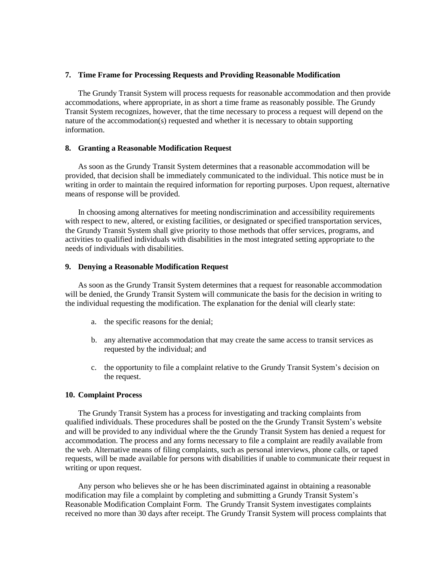#### **7. Time Frame for Processing Requests and Providing Reasonable Modification**

The Grundy Transit System will process requests for reasonable accommodation and then provide accommodations, where appropriate, in as short a time frame as reasonably possible. The Grundy Transit System recognizes, however, that the time necessary to process a request will depend on the nature of the accommodation(s) requested and whether it is necessary to obtain supporting information.

## **8. Granting a Reasonable Modification Request**

As soon as the Grundy Transit System determines that a reasonable accommodation will be provided, that decision shall be immediately communicated to the individual. This notice must be in writing in order to maintain the required information for reporting purposes. Upon request, alternative means of response will be provided.

In choosing among alternatives for meeting nondiscrimination and accessibility requirements with respect to new, altered, or existing facilities, or designated or specified transportation services, the Grundy Transit System shall give priority to those methods that offer services, programs, and activities to qualified individuals with disabilities in the most integrated setting appropriate to the needs of individuals with disabilities.

#### **9. Denying a Reasonable Modification Request**

As soon as the Grundy Transit System determines that a request for reasonable accommodation will be denied, the Grundy Transit System will communicate the basis for the decision in writing to the individual requesting the modification. The explanation for the denial will clearly state:

- a. the specific reasons for the denial;
- b. any alternative accommodation that may create the same access to transit services as requested by the individual; and
- c. the opportunity to file a complaint relative to the Grundy Transit System's decision on the request.

#### **10. Complaint Process**

The Grundy Transit System has a process for investigating and tracking complaints from qualified individuals. These procedures shall be posted on the the Grundy Transit System's website and will be provided to any individual where the the Grundy Transit System has denied a request for accommodation. The process and any forms necessary to file a complaint are readily available from the web. Alternative means of filing complaints, such as personal interviews, phone calls, or taped requests, will be made available for persons with disabilities if unable to communicate their request in writing or upon request.

Any person who believes she or he has been discriminated against in obtaining a reasonable modification may file a complaint by completing and submitting a Grundy Transit System's Reasonable Modification Complaint Form. The Grundy Transit System investigates complaints received no more than 30 days after receipt. The Grundy Transit System will process complaints that